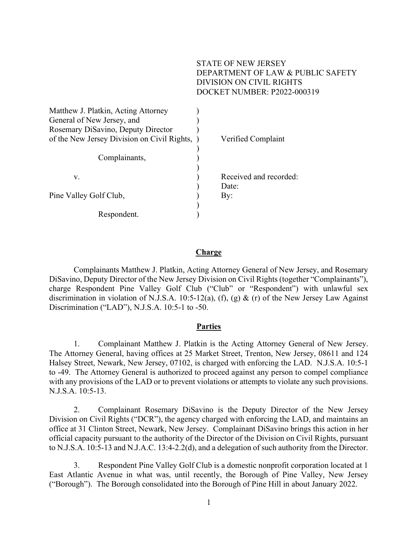### STATE OF NEW JERSEY DEPARTMENT OF LAW & PUBLIC SAFETY DIVISION ON CIVIL RIGHTS DOCKET NUMBER: P2022-000319

| Matthew J. Platkin, Acting Attorney<br>General of New Jersey, and<br>Rosemary DiSavino, Deputy Director |                        |
|---------------------------------------------------------------------------------------------------------|------------------------|
| of the New Jersey Division on Civil Rights, )                                                           | Verified Complaint     |
|                                                                                                         |                        |
| Complainants,                                                                                           |                        |
|                                                                                                         |                        |
| v.                                                                                                      | Received and recorded: |
|                                                                                                         | Date:                  |
| Pine Valley Golf Club,                                                                                  | By:                    |
|                                                                                                         |                        |
| Respondent.                                                                                             |                        |

#### **Charge**

 Complainants Matthew J. Platkin, Acting Attorney General of New Jersey, and Rosemary DiSavino, Deputy Director of the New Jersey Division on Civil Rights (together "Complainants"), charge Respondent Pine Valley Golf Club ("Club" or "Respondent") with unlawful sex discrimination in violation of N.J.S.A. 10:5-12(a), (f), (g) & (r) of the New Jersey Law Against Discrimination ("LAD"), N.J.S.A. 10:5-1 to -50.

#### **Parties**

1. Complainant Matthew J. Platkin is the Acting Attorney General of New Jersey. The Attorney General, having offices at 25 Market Street, Trenton, New Jersey, 08611 and 124 Halsey Street, Newark, New Jersey, 07102, is charged with enforcing the LAD. N.J.S.A. 10:5-1 to -49. The Attorney General is authorized to proceed against any person to compel compliance with any provisions of the LAD or to prevent violations or attempts to violate any such provisions. N.J.S.A. 10:5-13.

2. Complainant Rosemary DiSavino is the Deputy Director of the New Jersey Division on Civil Rights ("DCR"), the agency charged with enforcing the LAD, and maintains an office at 31 Clinton Street, Newark, New Jersey. Complainant DiSavino brings this action in her official capacity pursuant to the authority of the Director of the Division on Civil Rights, pursuant to N.J.S.A. 10:5-13 and N.J.A.C. 13:4-2.2(d), and a delegation of such authority from the Director.

3. Respondent Pine Valley Golf Club is a domestic nonprofit corporation located at 1 East Atlantic Avenue in what was, until recently, the Borough of Pine Valley, New Jersey ("Borough"). The Borough consolidated into the Borough of Pine Hill in about January 2022.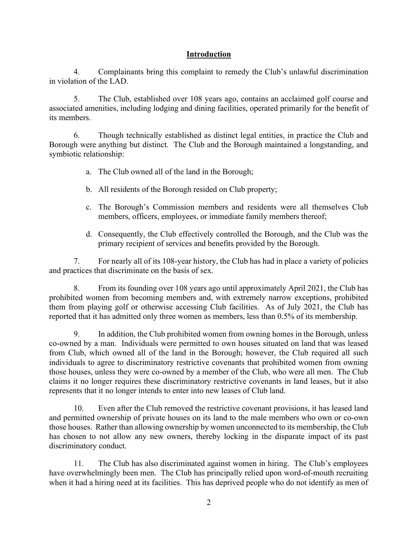### Introduction

4. Complainants bring this complaint to remedy the Club's unlawful discrimination in violation of the LAD.

5. The Club, established over 108 years ago, contains an acclaimed golf course and associated amenities, including lodging and dining facilities, operated primarily for the benefit of its members.

6. Though technically established as distinct legal entities, in practice the Club and Borough were anything but distinct. The Club and the Borough maintained a longstanding, and symbiotic relationship:

- a. The Club owned all of the land in the Borough;
- b. All residents of the Borough resided on Club property;
- c. The Borough's Commission members and residents were all themselves Club members, officers, employees, or immediate family members thereof;
- d. Consequently, the Club effectively controlled the Borough, and the Club was the primary recipient of services and benefits provided by the Borough.

7. For nearly all of its 108-year history, the Club has had in place a variety of policies and practices that discriminate on the basis of sex.

8. From its founding over 108 years ago until approximately April 2021, the Club has prohibited women from becoming members and, with extremely narrow exceptions, prohibited them from playing golf or otherwise accessing Club facilities. As of July 2021, the Club has reported that it has admitted only three women as members, less than 0.5% of its membership.

9. In addition, the Club prohibited women from owning homes in the Borough, unless co-owned by a man. Individuals were permitted to own houses situated on land that was leased from Club, which owned all of the land in the Borough; however, the Club required all such individuals to agree to discriminatory restrictive covenants that prohibited women from owning those houses, unless they were co-owned by a member of the Club, who were all men. The Club claims it no longer requires these discriminatory restrictive covenants in land leases, but it also represents that it no longer intends to enter into new leases of Club land.

10. Even after the Club removed the restrictive covenant provisions, it has leased land and permitted ownership of private houses on its land to the male members who own or co-own those houses. Rather than allowing ownership by women unconnected to its membership, the Club has chosen to not allow any new owners, thereby locking in the disparate impact of its past discriminatory conduct.

11. The Club has also discriminated against women in hiring. The Club's employees have overwhelmingly been men. The Club has principally relied upon word-of-mouth recruiting when it had a hiring need at its facilities. This has deprived people who do not identify as men of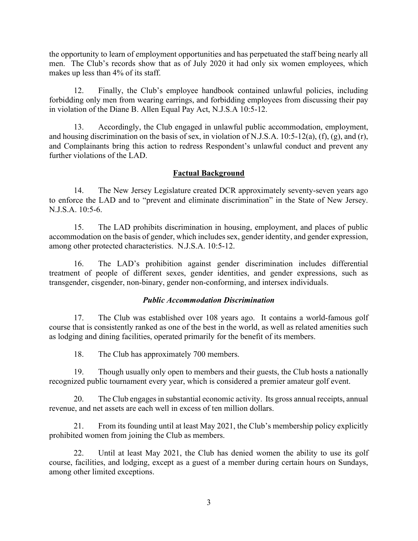the opportunity to learn of employment opportunities and has perpetuated the staff being nearly all men. The Club's records show that as of July 2020 it had only six women employees, which makes up less than 4% of its staff.

12. Finally, the Club's employee handbook contained unlawful policies, including forbidding only men from wearing earrings, and forbidding employees from discussing their pay in violation of the Diane B. Allen Equal Pay Act, N.J.S.A 10:5-12.

13. Accordingly, the Club engaged in unlawful public accommodation, employment, and housing discrimination on the basis of sex, in violation of N.J.S.A. 10:5-12(a), (f), (g), and (r), and Complainants bring this action to redress Respondent's unlawful conduct and prevent any further violations of the LAD.

### Factual Background

14. The New Jersey Legislature created DCR approximately seventy-seven years ago to enforce the LAD and to "prevent and eliminate discrimination" in the State of New Jersey. N.J.S.A. 10:5-6.

15. The LAD prohibits discrimination in housing, employment, and places of public accommodation on the basis of gender, which includes sex, gender identity, and gender expression, among other protected characteristics. N.J.S.A. 10:5-12.

16. The LAD's prohibition against gender discrimination includes differential treatment of people of different sexes, gender identities, and gender expressions, such as transgender, cisgender, non-binary, gender non-conforming, and intersex individuals.

### Public Accommodation Discrimination

17. The Club was established over 108 years ago. It contains a world-famous golf course that is consistently ranked as one of the best in the world, as well as related amenities such as lodging and dining facilities, operated primarily for the benefit of its members.

18. The Club has approximately 700 members.

19. Though usually only open to members and their guests, the Club hosts a nationally recognized public tournament every year, which is considered a premier amateur golf event.

20. The Club engages in substantial economic activity. Its gross annual receipts, annual revenue, and net assets are each well in excess of ten million dollars.

21. From its founding until at least May 2021, the Club's membership policy explicitly prohibited women from joining the Club as members.

22. Until at least May 2021, the Club has denied women the ability to use its golf course, facilities, and lodging, except as a guest of a member during certain hours on Sundays, among other limited exceptions.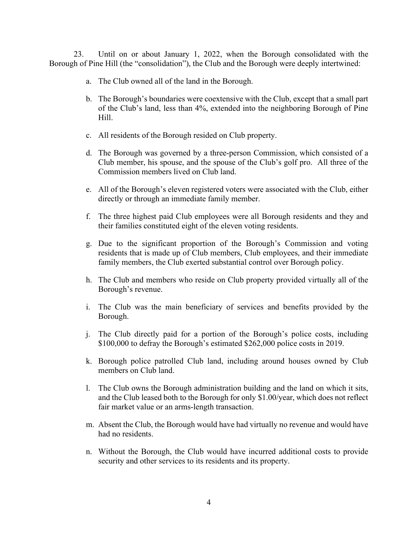23. Until on or about January 1, 2022, when the Borough consolidated with the Borough of Pine Hill (the "consolidation"), the Club and the Borough were deeply intertwined:

- a. The Club owned all of the land in the Borough.
- b. The Borough's boundaries were coextensive with the Club, except that a small part of the Club's land, less than 4%, extended into the neighboring Borough of Pine Hill.
- c. All residents of the Borough resided on Club property.
- d. The Borough was governed by a three-person Commission, which consisted of a Club member, his spouse, and the spouse of the Club's golf pro. All three of the Commission members lived on Club land.
- e. All of the Borough's eleven registered voters were associated with the Club, either directly or through an immediate family member.
- f. The three highest paid Club employees were all Borough residents and they and their families constituted eight of the eleven voting residents.
- g. Due to the significant proportion of the Borough's Commission and voting residents that is made up of Club members, Club employees, and their immediate family members, the Club exerted substantial control over Borough policy.
- h. The Club and members who reside on Club property provided virtually all of the Borough's revenue.
- i. The Club was the main beneficiary of services and benefits provided by the Borough.
- j. The Club directly paid for a portion of the Borough's police costs, including \$100,000 to defray the Borough's estimated \$262,000 police costs in 2019.
- k. Borough police patrolled Club land, including around houses owned by Club members on Club land.
- l. The Club owns the Borough administration building and the land on which it sits, and the Club leased both to the Borough for only \$1.00/year, which does not reflect fair market value or an arms-length transaction.
- m. Absent the Club, the Borough would have had virtually no revenue and would have had no residents.
- n. Without the Borough, the Club would have incurred additional costs to provide security and other services to its residents and its property.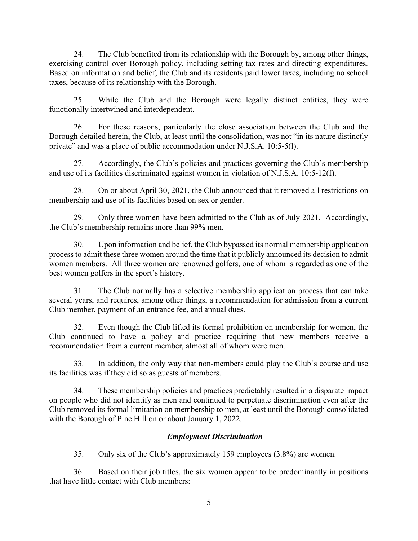24. The Club benefited from its relationship with the Borough by, among other things, exercising control over Borough policy, including setting tax rates and directing expenditures. Based on information and belief, the Club and its residents paid lower taxes, including no school taxes, because of its relationship with the Borough.

25. While the Club and the Borough were legally distinct entities, they were functionally intertwined and interdependent.

26. For these reasons, particularly the close association between the Club and the Borough detailed herein, the Club, at least until the consolidation, was not "in its nature distinctly private" and was a place of public accommodation under N.J.S.A. 10:5-5(l).

27. Accordingly, the Club's policies and practices governing the Club's membership and use of its facilities discriminated against women in violation of N.J.S.A. 10:5-12(f).

28. On or about April 30, 2021, the Club announced that it removed all restrictions on membership and use of its facilities based on sex or gender.

29. Only three women have been admitted to the Club as of July 2021. Accordingly, the Club's membership remains more than 99% men.

30. Upon information and belief, the Club bypassed its normal membership application process to admit these three women around the time that it publicly announced its decision to admit women members. All three women are renowned golfers, one of whom is regarded as one of the best women golfers in the sport's history.

31. The Club normally has a selective membership application process that can take several years, and requires, among other things, a recommendation for admission from a current Club member, payment of an entrance fee, and annual dues.

32. Even though the Club lifted its formal prohibition on membership for women, the Club continued to have a policy and practice requiring that new members receive a recommendation from a current member, almost all of whom were men.

33. In addition, the only way that non-members could play the Club's course and use its facilities was if they did so as guests of members.

34. These membership policies and practices predictably resulted in a disparate impact on people who did not identify as men and continued to perpetuate discrimination even after the Club removed its formal limitation on membership to men, at least until the Borough consolidated with the Borough of Pine Hill on or about January 1, 2022.

# Employment Discrimination

35. Only six of the Club's approximately 159 employees (3.8%) are women.

36. Based on their job titles, the six women appear to be predominantly in positions that have little contact with Club members: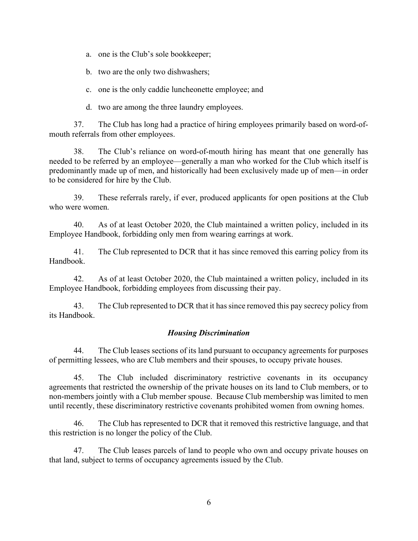a. one is the Club's sole bookkeeper;

b. two are the only two dishwashers;

c. one is the only caddie luncheonette employee; and

d. two are among the three laundry employees.

37. The Club has long had a practice of hiring employees primarily based on word-ofmouth referrals from other employees.

38. The Club's reliance on word-of-mouth hiring has meant that one generally has needed to be referred by an employee—generally a man who worked for the Club which itself is predominantly made up of men, and historically had been exclusively made up of men—in order to be considered for hire by the Club.

39. These referrals rarely, if ever, produced applicants for open positions at the Club who were women.

40. As of at least October 2020, the Club maintained a written policy, included in its Employee Handbook, forbidding only men from wearing earrings at work.

41. The Club represented to DCR that it has since removed this earring policy from its Handbook.

42. As of at least October 2020, the Club maintained a written policy, included in its Employee Handbook, forbidding employees from discussing their pay.

43. The Club represented to DCR that it has since removed this pay secrecy policy from its Handbook.

#### Housing Discrimination

44. The Club leases sections of its land pursuant to occupancy agreements for purposes of permitting lessees, who are Club members and their spouses, to occupy private houses.

45. The Club included discriminatory restrictive covenants in its occupancy agreements that restricted the ownership of the private houses on its land to Club members, or to non-members jointly with a Club member spouse. Because Club membership was limited to men until recently, these discriminatory restrictive covenants prohibited women from owning homes.

46. The Club has represented to DCR that it removed this restrictive language, and that this restriction is no longer the policy of the Club.

47. The Club leases parcels of land to people who own and occupy private houses on that land, subject to terms of occupancy agreements issued by the Club.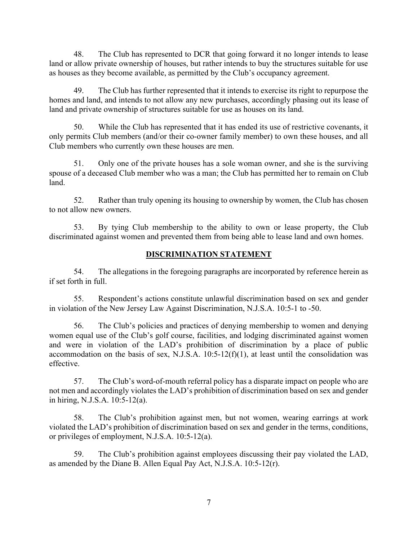48. The Club has represented to DCR that going forward it no longer intends to lease land or allow private ownership of houses, but rather intends to buy the structures suitable for use as houses as they become available, as permitted by the Club's occupancy agreement.

49. The Club has further represented that it intends to exercise its right to repurpose the homes and land, and intends to not allow any new purchases, accordingly phasing out its lease of land and private ownership of structures suitable for use as houses on its land.

50. While the Club has represented that it has ended its use of restrictive covenants, it only permits Club members (and/or their co-owner family member) to own these houses, and all Club members who currently own these houses are men.

51. Only one of the private houses has a sole woman owner, and she is the surviving spouse of a deceased Club member who was a man; the Club has permitted her to remain on Club land.

52. Rather than truly opening its housing to ownership by women, the Club has chosen to not allow new owners.

53. By tying Club membership to the ability to own or lease property, the Club discriminated against women and prevented them from being able to lease land and own homes.

## DISCRIMINATION STATEMENT

54. The allegations in the foregoing paragraphs are incorporated by reference herein as if set forth in full.

55. Respondent's actions constitute unlawful discrimination based on sex and gender in violation of the New Jersey Law Against Discrimination, N.J.S.A. 10:5-1 to -50.

56. The Club's policies and practices of denying membership to women and denying women equal use of the Club's golf course, facilities, and lodging discriminated against women and were in violation of the LAD's prohibition of discrimination by a place of public accommodation on the basis of sex, N.J.S.A.  $10:5-12(f)(1)$ , at least until the consolidation was effective.

57. The Club's word-of-mouth referral policy has a disparate impact on people who are not men and accordingly violates the LAD's prohibition of discrimination based on sex and gender in hiring, N.J.S.A. 10:5-12(a).

58. The Club's prohibition against men, but not women, wearing earrings at work violated the LAD's prohibition of discrimination based on sex and gender in the terms, conditions, or privileges of employment, N.J.S.A. 10:5-12(a).

59. The Club's prohibition against employees discussing their pay violated the LAD, as amended by the Diane B. Allen Equal Pay Act, N.J.S.A. 10:5-12(r).